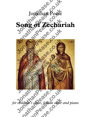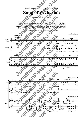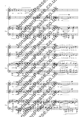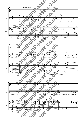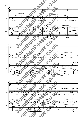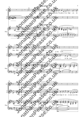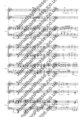